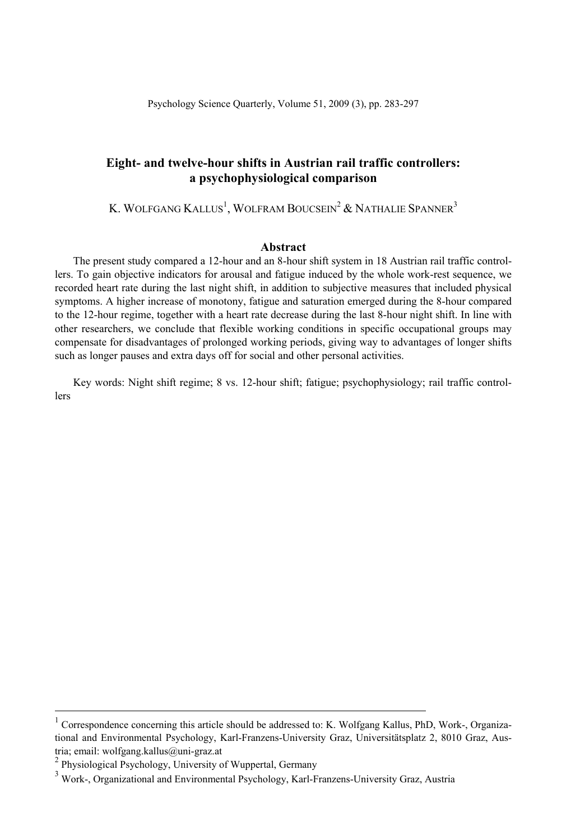## **Eight- and twelve-hour shifts in Austrian rail traffic controllers: a psychophysiological comparison**

K. WOLFGANG  $\text{K}\text{ALLUS}^{1}$ , WOLFRAM  $\text{BOUCSEN}^{2}$  & Nathalie Spanner $^{3}$ 

### **Abstract**

The present study compared a 12-hour and an 8-hour shift system in 18 Austrian rail traffic controllers. To gain objective indicators for arousal and fatigue induced by the whole work-rest sequence, we recorded heart rate during the last night shift, in addition to subjective measures that included physical symptoms. A higher increase of monotony, fatigue and saturation emerged during the 8-hour compared to the 12-hour regime, together with a heart rate decrease during the last 8-hour night shift. In line with other researchers, we conclude that flexible working conditions in specific occupational groups may compensate for disadvantages of prolonged working periods, giving way to advantages of longer shifts such as longer pauses and extra days off for social and other personal activities.

Key words: Night shift regime; 8 vs. 12-hour shift; fatigue; psychophysiology; rail traffic controllers

 $\frac{1}{1}$ <sup>1</sup> Correspondence concerning this article should be addressed to: K. Wolfgang Kallus, PhD, Work-, Organizational and Environmental Psychology, Karl-Franzens-University Graz, Universitätsplatz 2, 8010 Graz, Austria; email: wolfgang.kallus@uni-graz.at

<sup>&</sup>lt;sup>2</sup> Physiological Psychology, University of Wuppertal, Germany

<sup>&</sup>lt;sup>3</sup> Work-, Organizational and Environmental Psychology, Karl-Franzens-University Graz, Austria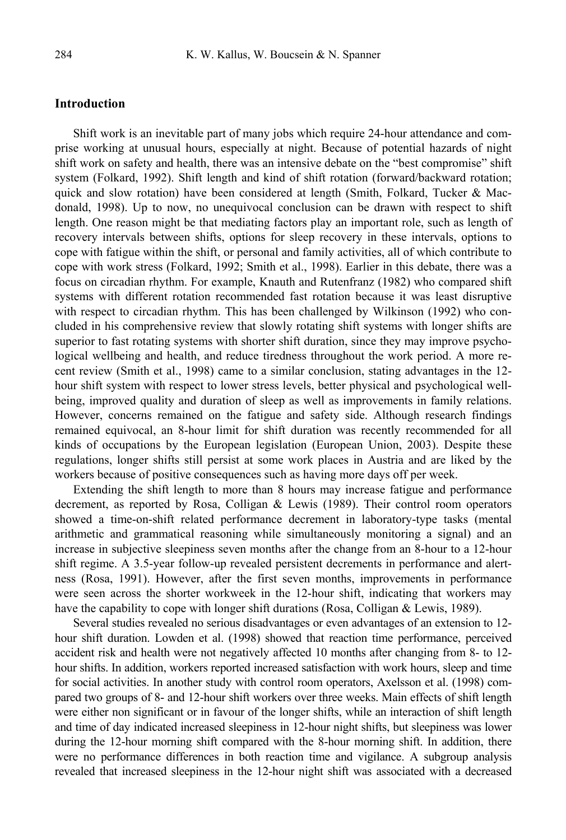### **Introduction**

Shift work is an inevitable part of many jobs which require 24-hour attendance and comprise working at unusual hours, especially at night. Because of potential hazards of night shift work on safety and health, there was an intensive debate on the "best compromise" shift system (Folkard, 1992). Shift length and kind of shift rotation (forward/backward rotation; quick and slow rotation) have been considered at length (Smith, Folkard, Tucker & Macdonald, 1998). Up to now, no unequivocal conclusion can be drawn with respect to shift length. One reason might be that mediating factors play an important role, such as length of recovery intervals between shifts, options for sleep recovery in these intervals, options to cope with fatigue within the shift, or personal and family activities, all of which contribute to cope with work stress (Folkard, 1992; Smith et al., 1998). Earlier in this debate, there was a focus on circadian rhythm. For example, Knauth and Rutenfranz (1982) who compared shift systems with different rotation recommended fast rotation because it was least disruptive with respect to circadian rhythm. This has been challenged by Wilkinson (1992) who concluded in his comprehensive review that slowly rotating shift systems with longer shifts are superior to fast rotating systems with shorter shift duration, since they may improve psychological wellbeing and health, and reduce tiredness throughout the work period. A more recent review (Smith et al., 1998) came to a similar conclusion, stating advantages in the 12 hour shift system with respect to lower stress levels, better physical and psychological wellbeing, improved quality and duration of sleep as well as improvements in family relations. However, concerns remained on the fatigue and safety side. Although research findings remained equivocal, an 8-hour limit for shift duration was recently recommended for all kinds of occupations by the European legislation (European Union, 2003). Despite these regulations, longer shifts still persist at some work places in Austria and are liked by the workers because of positive consequences such as having more days off per week.

Extending the shift length to more than 8 hours may increase fatigue and performance decrement, as reported by Rosa, Colligan & Lewis (1989). Their control room operators showed a time-on-shift related performance decrement in laboratory-type tasks (mental arithmetic and grammatical reasoning while simultaneously monitoring a signal) and an increase in subjective sleepiness seven months after the change from an 8-hour to a 12-hour shift regime. A 3.5-year follow-up revealed persistent decrements in performance and alertness (Rosa, 1991). However, after the first seven months, improvements in performance were seen across the shorter workweek in the 12-hour shift, indicating that workers may have the capability to cope with longer shift durations (Rosa, Colligan & Lewis, 1989).

Several studies revealed no serious disadvantages or even advantages of an extension to 12 hour shift duration. Lowden et al. (1998) showed that reaction time performance, perceived accident risk and health were not negatively affected 10 months after changing from 8- to 12 hour shifts. In addition, workers reported increased satisfaction with work hours, sleep and time for social activities. In another study with control room operators, Axelsson et al. (1998) compared two groups of 8- and 12-hour shift workers over three weeks. Main effects of shift length were either non significant or in favour of the longer shifts, while an interaction of shift length and time of day indicated increased sleepiness in 12-hour night shifts, but sleepiness was lower during the 12-hour morning shift compared with the 8-hour morning shift. In addition, there were no performance differences in both reaction time and vigilance. A subgroup analysis revealed that increased sleepiness in the 12-hour night shift was associated with a decreased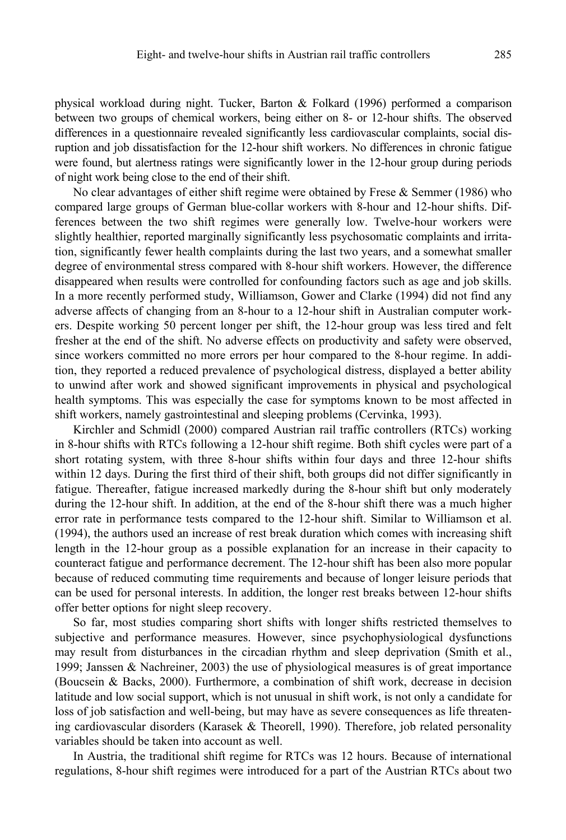physical workload during night. Tucker, Barton & Folkard (1996) performed a comparison between two groups of chemical workers, being either on 8- or 12-hour shifts. The observed differences in a questionnaire revealed significantly less cardiovascular complaints, social disruption and job dissatisfaction for the 12-hour shift workers. No differences in chronic fatigue were found, but alertness ratings were significantly lower in the 12-hour group during periods of night work being close to the end of their shift.

No clear advantages of either shift regime were obtained by Frese & Semmer (1986) who compared large groups of German blue-collar workers with 8-hour and 12-hour shifts. Differences between the two shift regimes were generally low. Twelve-hour workers were slightly healthier, reported marginally significantly less psychosomatic complaints and irritation, significantly fewer health complaints during the last two years, and a somewhat smaller degree of environmental stress compared with 8-hour shift workers. However, the difference disappeared when results were controlled for confounding factors such as age and job skills. In a more recently performed study, Williamson, Gower and Clarke (1994) did not find any adverse affects of changing from an 8-hour to a 12-hour shift in Australian computer workers. Despite working 50 percent longer per shift, the 12-hour group was less tired and felt fresher at the end of the shift. No adverse effects on productivity and safety were observed, since workers committed no more errors per hour compared to the 8-hour regime. In addition, they reported a reduced prevalence of psychological distress, displayed a better ability to unwind after work and showed significant improvements in physical and psychological health symptoms. This was especially the case for symptoms known to be most affected in shift workers, namely gastrointestinal and sleeping problems (Cervinka, 1993).

Kirchler and Schmidl (2000) compared Austrian rail traffic controllers (RTCs) working in 8-hour shifts with RTCs following a 12-hour shift regime. Both shift cycles were part of a short rotating system, with three 8-hour shifts within four days and three 12-hour shifts within 12 days. During the first third of their shift, both groups did not differ significantly in fatigue. Thereafter, fatigue increased markedly during the 8-hour shift but only moderately during the 12-hour shift. In addition, at the end of the 8-hour shift there was a much higher error rate in performance tests compared to the 12-hour shift. Similar to Williamson et al. (1994), the authors used an increase of rest break duration which comes with increasing shift length in the 12-hour group as a possible explanation for an increase in their capacity to counteract fatigue and performance decrement. The 12-hour shift has been also more popular because of reduced commuting time requirements and because of longer leisure periods that can be used for personal interests. In addition, the longer rest breaks between 12-hour shifts offer better options for night sleep recovery.

So far, most studies comparing short shifts with longer shifts restricted themselves to subjective and performance measures. However, since psychophysiological dysfunctions may result from disturbances in the circadian rhythm and sleep deprivation (Smith et al., 1999; Janssen & Nachreiner, 2003) the use of physiological measures is of great importance (Boucsein & Backs, 2000). Furthermore, a combination of shift work, decrease in decision latitude and low social support, which is not unusual in shift work, is not only a candidate for loss of job satisfaction and well-being, but may have as severe consequences as life threatening cardiovascular disorders (Karasek & Theorell, 1990). Therefore, job related personality variables should be taken into account as well.

In Austria, the traditional shift regime for RTCs was 12 hours. Because of international regulations, 8-hour shift regimes were introduced for a part of the Austrian RTCs about two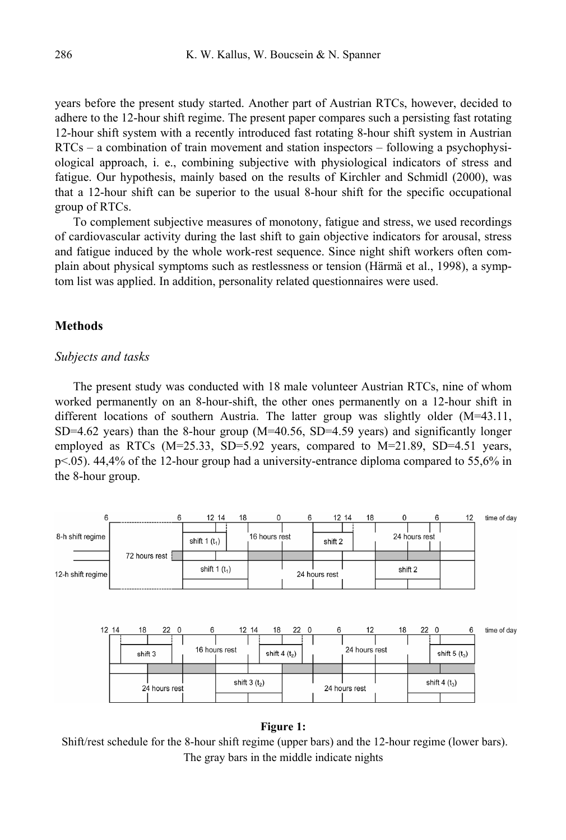years before the present study started. Another part of Austrian RTCs, however, decided to adhere to the 12-hour shift regime. The present paper compares such a persisting fast rotating 12-hour shift system with a recently introduced fast rotating 8-hour shift system in Austrian RTCs – a combination of train movement and station inspectors – following a psychophysiological approach, i. e., combining subjective with physiological indicators of stress and fatigue. Our hypothesis, mainly based on the results of Kirchler and Schmidl (2000), was that a 12-hour shift can be superior to the usual 8-hour shift for the specific occupational group of RTCs.

To complement subjective measures of monotony, fatigue and stress, we used recordings of cardiovascular activity during the last shift to gain objective indicators for arousal, stress and fatigue induced by the whole work-rest sequence. Since night shift workers often complain about physical symptoms such as restlessness or tension (Härmä et al., 1998), a symptom list was applied. In addition, personality related questionnaires were used.

### **Methods**

### *Subjects and tasks*

The present study was conducted with 18 male volunteer Austrian RTCs, nine of whom worked permanently on an 8-hour-shift, the other ones permanently on a 12-hour shift in different locations of southern Austria. The latter group was slightly older (M=43.11, SD=4.62 years) than the 8-hour group (M=40.56, SD=4.59 years) and significantly longer employed as RTCs ( $M=25.33$ , SD=5.92 years, compared to  $M=21.89$ , SD=4.51 years, p<.05). 44,4% of the 12-hour group had a university-entrance diploma compared to 55,6% in the 8-hour group.



### **Figure 1:**

 Shift/rest schedule for the 8-hour shift regime (upper bars) and the 12-hour regime (lower bars). The gray bars in the middle indicate nights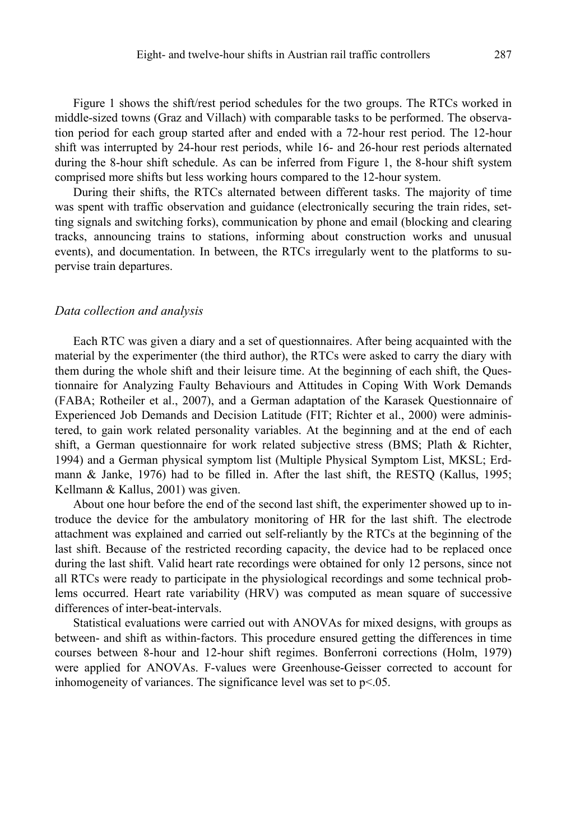Figure 1 shows the shift/rest period schedules for the two groups. The RTCs worked in middle-sized towns (Graz and Villach) with comparable tasks to be performed. The observation period for each group started after and ended with a 72-hour rest period. The 12-hour shift was interrupted by 24-hour rest periods, while 16- and 26-hour rest periods alternated during the 8-hour shift schedule. As can be inferred from Figure 1, the 8-hour shift system comprised more shifts but less working hours compared to the 12-hour system.

During their shifts, the RTCs alternated between different tasks. The majority of time was spent with traffic observation and guidance (electronically securing the train rides, setting signals and switching forks), communication by phone and email (blocking and clearing tracks, announcing trains to stations, informing about construction works and unusual events), and documentation. In between, the RTCs irregularly went to the platforms to supervise train departures.

### *Data collection and analysis*

Each RTC was given a diary and a set of questionnaires. After being acquainted with the material by the experimenter (the third author), the RTCs were asked to carry the diary with them during the whole shift and their leisure time. At the beginning of each shift, the Questionnaire for Analyzing Faulty Behaviours and Attitudes in Coping With Work Demands (FABA; Rotheiler et al., 2007), and a German adaptation of the Karasek Questionnaire of Experienced Job Demands and Decision Latitude (FIT; Richter et al., 2000) were administered, to gain work related personality variables. At the beginning and at the end of each shift, a German questionnaire for work related subjective stress (BMS; Plath & Richter, 1994) and a German physical symptom list (Multiple Physical Symptom List, MKSL; Erdmann & Janke, 1976) had to be filled in. After the last shift, the RESTQ (Kallus, 1995; Kellmann & Kallus, 2001) was given.

About one hour before the end of the second last shift, the experimenter showed up to introduce the device for the ambulatory monitoring of HR for the last shift. The electrode attachment was explained and carried out self-reliantly by the RTCs at the beginning of the last shift. Because of the restricted recording capacity, the device had to be replaced once during the last shift. Valid heart rate recordings were obtained for only 12 persons, since not all RTCs were ready to participate in the physiological recordings and some technical problems occurred. Heart rate variability (HRV) was computed as mean square of successive differences of inter-beat-intervals.

Statistical evaluations were carried out with ANOVAs for mixed designs, with groups as between- and shift as within-factors. This procedure ensured getting the differences in time courses between 8-hour and 12-hour shift regimes. Bonferroni corrections (Holm, 1979) were applied for ANOVAs. F-values were Greenhouse-Geisser corrected to account for inhomogeneity of variances. The significance level was set to p<.05.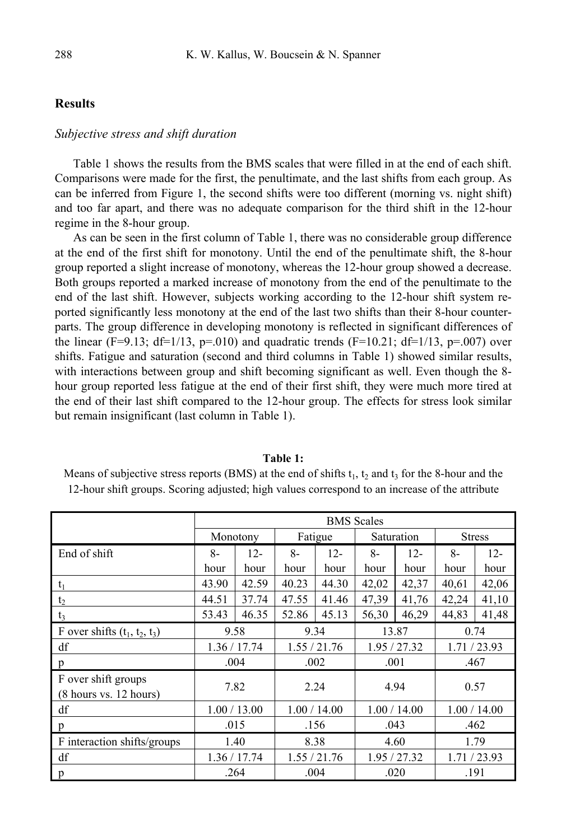### **Results**

### *Subjective stress and shift duration*

Table 1 shows the results from the BMS scales that were filled in at the end of each shift. Comparisons were made for the first, the penultimate, and the last shifts from each group. As can be inferred from Figure 1, the second shifts were too different (morning vs. night shift) and too far apart, and there was no adequate comparison for the third shift in the 12-hour regime in the 8-hour group.

As can be seen in the first column of Table 1, there was no considerable group difference at the end of the first shift for monotony. Until the end of the penultimate shift, the 8-hour group reported a slight increase of monotony, whereas the 12-hour group showed a decrease. Both groups reported a marked increase of monotony from the end of the penultimate to the end of the last shift. However, subjects working according to the 12-hour shift system reported significantly less monotony at the end of the last two shifts than their 8-hour counterparts. The group difference in developing monotony is reflected in significant differences of the linear (F=9.13; df=1/13, p=.010) and quadratic trends (F=10.21; df=1/13, p=.007) over shifts. Fatigue and saturation (second and third columns in Table 1) showed similar results, with interactions between group and shift becoming significant as well. Even though the 8 hour group reported less fatigue at the end of their first shift, they were much more tired at the end of their last shift compared to the 12-hour group. The effects for stress look similar but remain insignificant (last column in Table 1).

| TAVIV 1.                                                                                                     |
|--------------------------------------------------------------------------------------------------------------|
| Means of subjective stress reports (BMS) at the end of shifts $t_1$ , $t_2$ and $t_3$ for the 8-hour and the |
| 12-hour shift groups. Scoring adjusted; high values correspond to an increase of the attribute               |

|                                                                  | <b>BMS</b> Scales |        |              |        |              |        |               |        |  |
|------------------------------------------------------------------|-------------------|--------|--------------|--------|--------------|--------|---------------|--------|--|
|                                                                  | Monotony          |        | Fatigue      |        | Saturation   |        | <b>Stress</b> |        |  |
| End of shift                                                     | $8-$              | $12 -$ | $8-$         | $12 -$ | $8-$         | $12 -$ | $8-$          | $12 -$ |  |
|                                                                  | hour              | hour   | hour         | hour   | hour         | hour   | hour          | hour   |  |
| $t_1$                                                            | 43.90             | 42.59  | 40.23        | 44.30  | 42,02        | 42,37  | 40.61         | 42,06  |  |
| t <sub>2</sub>                                                   | 44.51             | 37.74  | 47.55        | 41.46  | 47,39        | 41,76  | 42,24         | 41,10  |  |
| $t_3$                                                            | 53.43             | 46.35  | 52.86        | 45.13  | 56,30        | 46,29  | 44,83         | 41,48  |  |
| F over shifts $(t_1, t_2, t_3)$                                  | 9.58              |        | 9.34         |        | 13.87        |        | 0.74          |        |  |
| df                                                               | 1.36 / 17.74      |        | 1.55 / 21.76 |        | 1.95 / 27.32 |        | 1.71 / 23.93  |        |  |
| p                                                                | .004              |        | .002         |        | .001         |        | .467          |        |  |
| F over shift groups<br>$(8 \text{ hours vs. } 12 \text{ hours})$ | 7.82              |        | 2.24         |        | 4.94         |        | 0.57          |        |  |
| df                                                               | 1.00 / 13.00      |        | 1.00 / 14.00 |        | 1.00 / 14.00 |        | 1.00 / 14.00  |        |  |
| p                                                                | .015              |        | .156         |        | .043         |        | .462          |        |  |
| F interaction shifts/groups                                      | 1.40              |        | 8.38         |        | 4.60         |        | 1.79          |        |  |
| df                                                               | 1.36 / 17.74      |        | 1.55 / 21.76 |        | 1.95 / 27.32 |        | 1.71/23.93    |        |  |
| p                                                                | .264              |        | .004         |        | .020         |        | .191          |        |  |

### **Table 1:**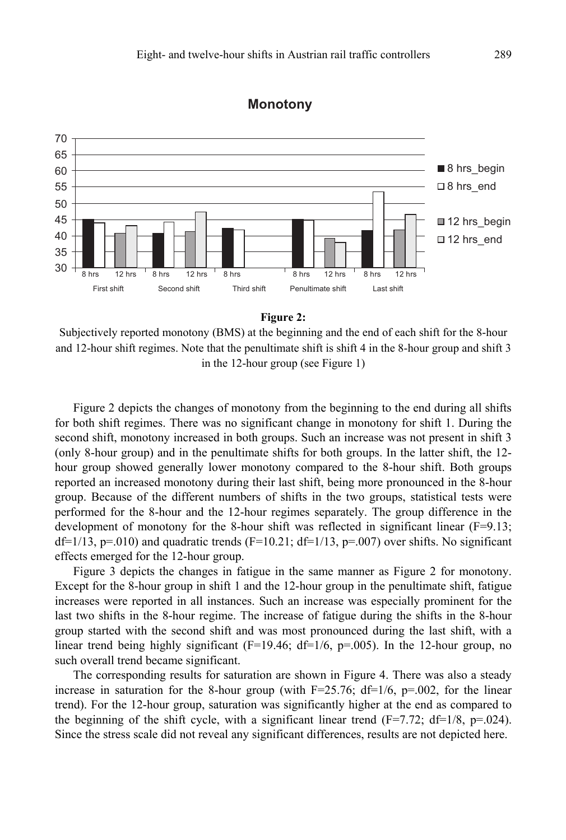

# **Monotony**



Subjectively reported monotony (BMS) at the beginning and the end of each shift for the 8-hour and 12-hour shift regimes. Note that the penultimate shift is shift 4 in the 8-hour group and shift 3 in the 12-hour group (see Figure 1)

Figure 2 depicts the changes of monotony from the beginning to the end during all shifts for both shift regimes. There was no significant change in monotony for shift 1. During the second shift, monotony increased in both groups. Such an increase was not present in shift 3 (only 8-hour group) and in the penultimate shifts for both groups. In the latter shift, the 12 hour group showed generally lower monotony compared to the 8-hour shift. Both groups reported an increased monotony during their last shift, being more pronounced in the 8-hour group. Because of the different numbers of shifts in the two groups, statistical tests were performed for the 8-hour and the 12-hour regimes separately. The group difference in the development of monotony for the 8-hour shift was reflected in significant linear  $(F=9.13;$  $df=1/13$ ,  $p=0.010$ ) and quadratic trends (F=10.21;  $df=1/13$ ,  $p=0.007$ ) over shifts. No significant effects emerged for the 12-hour group.

Figure 3 depicts the changes in fatigue in the same manner as Figure 2 for monotony. Except for the 8-hour group in shift 1 and the 12-hour group in the penultimate shift, fatigue increases were reported in all instances. Such an increase was especially prominent for the last two shifts in the 8-hour regime. The increase of fatigue during the shifts in the 8-hour group started with the second shift and was most pronounced during the last shift, with a linear trend being highly significant ( $F=19.46$ ;  $df=1/6$ ,  $p=.005$ ). In the 12-hour group, no such overall trend became significant.

The corresponding results for saturation are shown in Figure 4. There was also a steady increase in saturation for the 8-hour group (with  $F=25.76$ ;  $df=1/6$ ,  $p=.002$ , for the linear trend). For the 12-hour group, saturation was significantly higher at the end as compared to the beginning of the shift cycle, with a significant linear trend  $(F=7.72; df=1/8, p=.024)$ . Since the stress scale did not reveal any significant differences, results are not depicted here.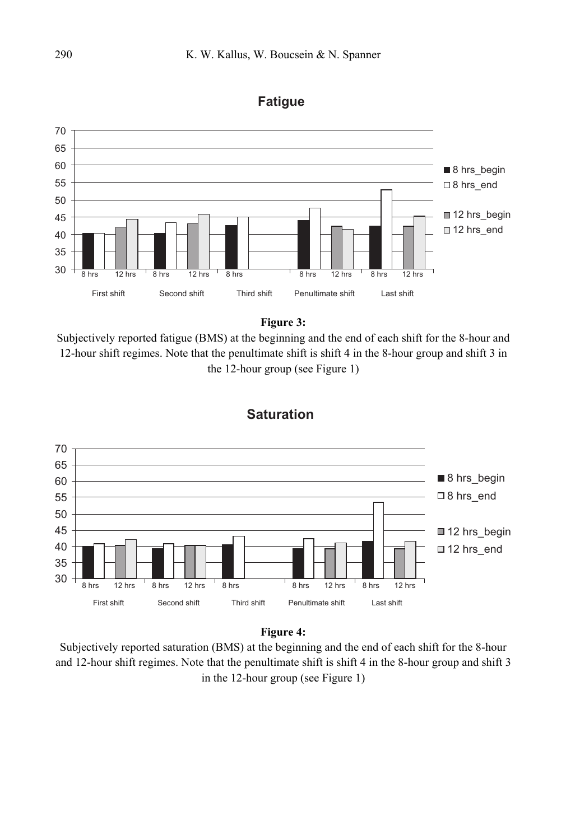

## **Fatigue**



Subjectively reported fatigue (BMS) at the beginning and the end of each shift for the 8-hour and 12-hour shift regimes. Note that the penultimate shift is shift 4 in the 8-hour group and shift 3 in the 12-hour group (see Figure 1)



# **Saturation**

### **Figure 4:**

Subjectively reported saturation (BMS) at the beginning and the end of each shift for the 8-hour and 12-hour shift regimes. Note that the penultimate shift is shift 4 in the 8-hour group and shift 3 in the 12-hour group (see Figure 1)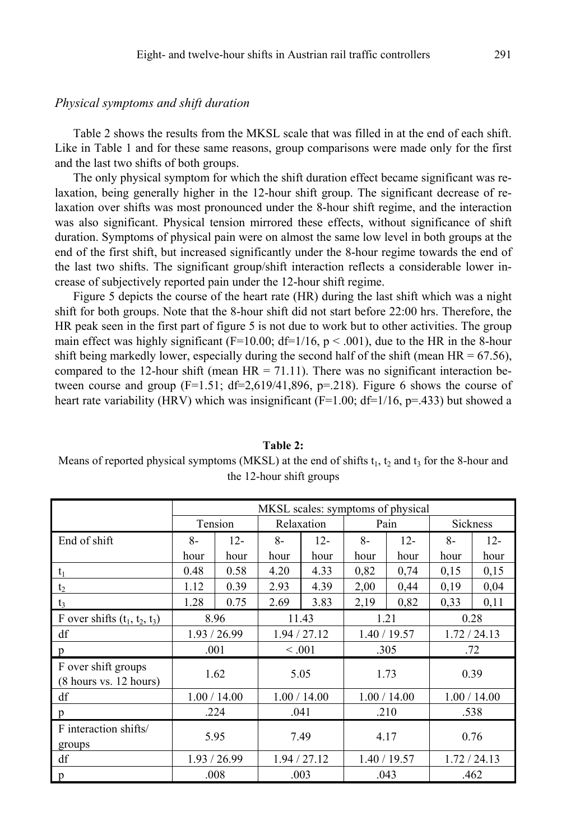### *Physical symptoms and shift duration*

Table 2 shows the results from the MKSL scale that was filled in at the end of each shift. Like in Table 1 and for these same reasons, group comparisons were made only for the first and the last two shifts of both groups.

The only physical symptom for which the shift duration effect became significant was relaxation, being generally higher in the 12-hour shift group. The significant decrease of relaxation over shifts was most pronounced under the 8-hour shift regime, and the interaction was also significant. Physical tension mirrored these effects, without significance of shift duration. Symptoms of physical pain were on almost the same low level in both groups at the end of the first shift, but increased significantly under the 8-hour regime towards the end of the last two shifts. The significant group/shift interaction reflects a considerable lower increase of subjectively reported pain under the 12-hour shift regime.

Figure 5 depicts the course of the heart rate (HR) during the last shift which was a night shift for both groups. Note that the 8-hour shift did not start before 22:00 hrs. Therefore, the HR peak seen in the first part of figure 5 is not due to work but to other activities. The group main effect was highly significant (F=10.00; df=1/16,  $p < .001$ ), due to the HR in the 8-hour shift being markedly lower, especially during the second half of the shift (mean  $HR = 67.56$ ), compared to the 12-hour shift (mean  $HR = 71.11$ ). There was no significant interaction between course and group  $(F=1.51; df=2.619/41,896, p=.218)$ . Figure 6 shows the course of heart rate variability (HRV) which was insignificant (F=1.00; df=1/16, p=.433) but showed a

|                                                                  | MKSL scales: symptoms of physical |        |              |              |              |              |                 |              |  |  |
|------------------------------------------------------------------|-----------------------------------|--------|--------------|--------------|--------------|--------------|-----------------|--------------|--|--|
|                                                                  | Tension                           |        | Relaxation   |              | Pain         |              | <b>Sickness</b> |              |  |  |
| End of shift                                                     | $8-$                              | $12 -$ | $8-$         | $12 -$       | $8-$         | $12 -$       | $8-$            | $12 -$       |  |  |
|                                                                  | hour                              | hour   | hour         | hour         | hour         | hour         | hour            | hour         |  |  |
| $t_1$                                                            | 0.48                              | 0.58   | 4.20         | 4.33         | 0.82         | 0,74         | 0,15            | 0,15         |  |  |
| $t_2$                                                            | 1.12                              | 0.39   | 2.93         | 4.39         | 2,00         | 0,44         | 0.19            | 0.04         |  |  |
| $t_3$                                                            | 1.28                              | 0.75   | 2.69         | 3.83         | 2,19         | 0.82         | 0,33            | 0,11         |  |  |
| F over shifts $(t_1, t_2, t_3)$                                  | 8.96                              |        | 11.43        |              | 1.21         |              | 0.28            |              |  |  |
| df                                                               | 1.93 / 26.99                      |        |              | 1.94 / 27.12 |              | 1.40 / 19.57 |                 | 1.72 / 24.13 |  |  |
| p                                                                | .001                              |        | < 0.001      |              | .305         |              | .72             |              |  |  |
| F over shift groups<br>$(8 \text{ hours vs. } 12 \text{ hours})$ | 1.62                              |        | 5.05         |              | 1.73         |              | 0.39            |              |  |  |
| df                                                               | 1.00 / 14.00                      |        | 1.00 / 14.00 |              | 1.00 / 14.00 |              | 1.00 / 14.00    |              |  |  |
| p                                                                | .224                              |        | .041         |              | .210         |              | .538            |              |  |  |
| F interaction shifts/<br>groups                                  | 5.95                              |        | 7.49         |              | 4.17         |              | 0.76            |              |  |  |
| df                                                               | 1.93 / 26.99                      |        | 1.94 / 27.12 |              | 1.40 / 19.57 |              | 1.72 / 24.13    |              |  |  |
| p                                                                | .008                              |        | .003         |              | .043         |              | .462            |              |  |  |

# **Table 2:**

Means of reported physical symptoms (MKSL) at the end of shifts  $t_1$ ,  $t_2$  and  $t_3$  for the 8-hour and the 12-hour shift groups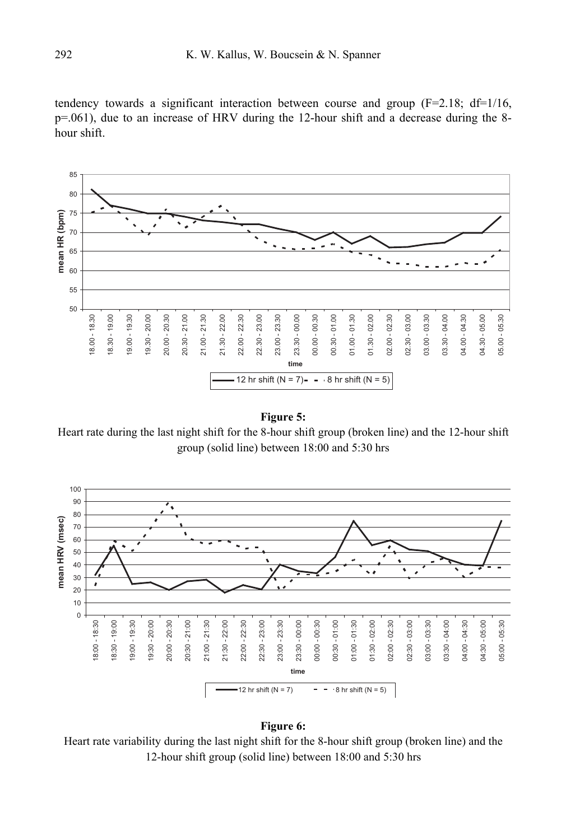tendency towards a significant interaction between course and group  $(F=2.18; df=1/16,$ p=.061), due to an increase of HRV during the 12-hour shift and a decrease during the 8 hour shift.



**Figure 5:** 

Heart rate during the last night shift for the 8-hour shift group (broken line) and the 12-hour shift group (solid line) between 18:00 and 5:30 hrs



### **Figure 6:**

Heart rate variability during the last night shift for the 8-hour shift group (broken line) and the 12-hour shift group (solid line) between 18:00 and 5:30 hrs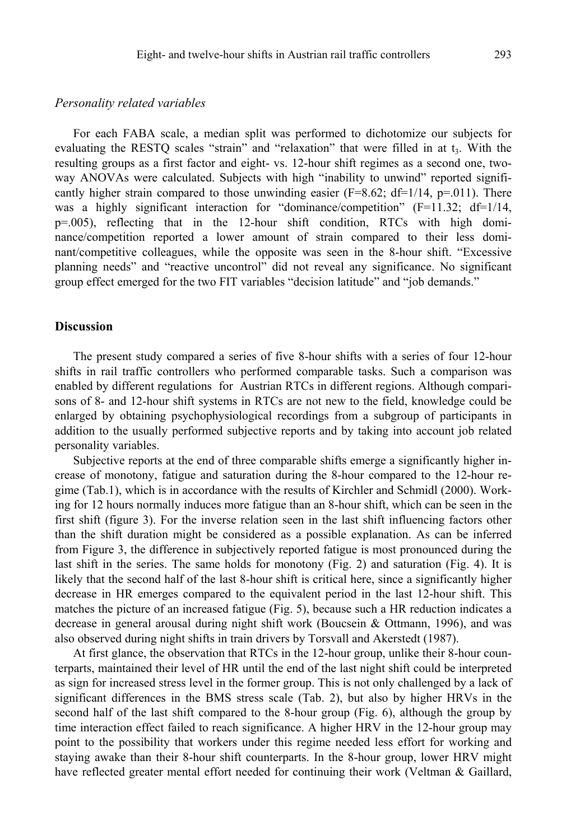### *Personality related variables*

For each FABA scale, a median split was performed to dichotomize our subjects for evaluating the RESTO scales "strain" and "relaxation" that were filled in at  $t<sub>3</sub>$ . With the resulting groups as a first factor and eight- vs. 12-hour shift regimes as a second one, twoway ANOVAs were calculated. Subjects with high "inability to unwind" reported significantly higher strain compared to those unwinding easier  $(F=8.62; df=1/14, p=.011)$ . There was a highly significant interaction for "dominance/competition" ( $F=11.32$ ; d $f=1/14$ , p=.005), reflecting that in the 12-hour shift condition, RTCs with high dominance/competition reported a lower amount of strain compared to their less dominant/competitive colleagues, while the opposite was seen in the 8-hour shift. "Excessive planning needs" and "reactive uncontrol" did not reveal any significance. No significant group effect emerged for the two FIT variables "decision latitude" and "job demands."

### **Discussion**

The present study compared a series of five 8-hour shifts with a series of four 12-hour shifts in rail traffic controllers who performed comparable tasks. Such a comparison was enabled by different regulations for Austrian RTCs in different regions. Although comparisons of 8- and 12-hour shift systems in RTCs are not new to the field, knowledge could be enlarged by obtaining psychophysiological recordings from a subgroup of participants in addition to the usually performed subjective reports and by taking into account job related personality variables.

Subjective reports at the end of three comparable shifts emerge a significantly higher increase of monotony, fatigue and saturation during the 8-hour compared to the 12-hour regime (Tab.1), which is in accordance with the results of Kirchler and Schmidl (2000). Working for 12 hours normally induces more fatigue than an 8-hour shift, which can be seen in the first shift (figure 3). For the inverse relation seen in the last shift influencing factors other than the shift duration might be considered as a possible explanation. As can be inferred from Figure 3, the difference in subjectively reported fatigue is most pronounced during the last shift in the series. The same holds for monotony (Fig. 2) and saturation (Fig. 4). It is likely that the second half of the last 8-hour shift is critical here, since a significantly higher decrease in HR emerges compared to the equivalent period in the last 12-hour shift. This matches the picture of an increased fatigue (Fig. 5), because such a HR reduction indicates a decrease in general arousal during night shift work (Boucsein  $&$  Ottmann, 1996), and was also observed during night shifts in train drivers by Torsvall and Akerstedt (1987).

At first glance, the observation that RTCs in the 12-hour group, unlike their 8-hour counterparts, maintained their level of HR until the end of the last night shift could be interpreted as sign for increased stress level in the former group. This is not only challenged by a lack of significant differences in the BMS stress scale (Tab. 2), but also by higher HRVs in the second half of the last shift compared to the 8-hour group (Fig. 6), although the group by time interaction effect failed to reach significance. A higher HRV in the 12-hour group may point to the possibility that workers under this regime needed less effort for working and staying awake than their 8-hour shift counterparts. In the 8-hour group, lower HRV might have reflected greater mental effort needed for continuing their work (Veltman & Gaillard,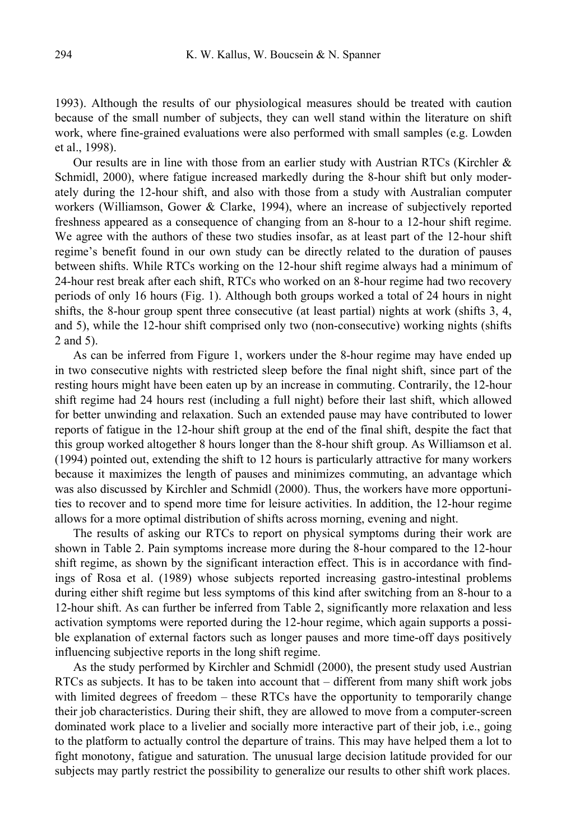1993). Although the results of our physiological measures should be treated with caution because of the small number of subjects, they can well stand within the literature on shift work, where fine-grained evaluations were also performed with small samples (e.g. Lowden et al., 1998).

Our results are in line with those from an earlier study with Austrian RTCs (Kirchler & Schmidl, 2000), where fatigue increased markedly during the 8-hour shift but only moderately during the 12-hour shift, and also with those from a study with Australian computer workers (Williamson, Gower & Clarke, 1994), where an increase of subjectively reported freshness appeared as a consequence of changing from an 8-hour to a 12-hour shift regime. We agree with the authors of these two studies insofar, as at least part of the 12-hour shift regime's benefit found in our own study can be directly related to the duration of pauses between shifts. While RTCs working on the 12-hour shift regime always had a minimum of 24-hour rest break after each shift, RTCs who worked on an 8-hour regime had two recovery periods of only 16 hours (Fig. 1). Although both groups worked a total of 24 hours in night shifts, the 8-hour group spent three consecutive (at least partial) nights at work (shifts 3, 4, and 5), while the 12-hour shift comprised only two (non-consecutive) working nights (shifts 2 and 5).

As can be inferred from Figure 1, workers under the 8-hour regime may have ended up in two consecutive nights with restricted sleep before the final night shift, since part of the resting hours might have been eaten up by an increase in commuting. Contrarily, the 12-hour shift regime had 24 hours rest (including a full night) before their last shift, which allowed for better unwinding and relaxation. Such an extended pause may have contributed to lower reports of fatigue in the 12-hour shift group at the end of the final shift, despite the fact that this group worked altogether 8 hours longer than the 8-hour shift group. As Williamson et al. (1994) pointed out, extending the shift to 12 hours is particularly attractive for many workers because it maximizes the length of pauses and minimizes commuting, an advantage which was also discussed by Kirchler and Schmidl (2000). Thus, the workers have more opportunities to recover and to spend more time for leisure activities. In addition, the 12-hour regime allows for a more optimal distribution of shifts across morning, evening and night.

The results of asking our RTCs to report on physical symptoms during their work are shown in Table 2. Pain symptoms increase more during the 8-hour compared to the 12-hour shift regime, as shown by the significant interaction effect. This is in accordance with findings of Rosa et al. (1989) whose subjects reported increasing gastro-intestinal problems during either shift regime but less symptoms of this kind after switching from an 8-hour to a 12-hour shift. As can further be inferred from Table 2, significantly more relaxation and less activation symptoms were reported during the 12-hour regime, which again supports a possible explanation of external factors such as longer pauses and more time-off days positively influencing subjective reports in the long shift regime.

As the study performed by Kirchler and Schmidl (2000), the present study used Austrian RTCs as subjects. It has to be taken into account that – different from many shift work jobs with limited degrees of freedom – these RTCs have the opportunity to temporarily change their job characteristics. During their shift, they are allowed to move from a computer-screen dominated work place to a livelier and socially more interactive part of their job, i.e., going to the platform to actually control the departure of trains. This may have helped them a lot to fight monotony, fatigue and saturation. The unusual large decision latitude provided for our subjects may partly restrict the possibility to generalize our results to other shift work places.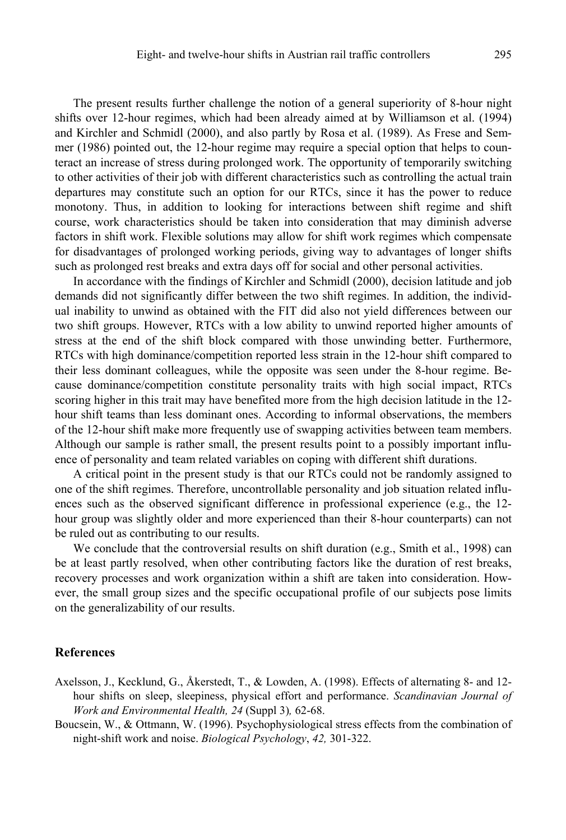The present results further challenge the notion of a general superiority of 8-hour night shifts over 12-hour regimes, which had been already aimed at by Williamson et al. (1994) and Kirchler and Schmidl (2000), and also partly by Rosa et al. (1989). As Frese and Semmer (1986) pointed out, the 12-hour regime may require a special option that helps to counteract an increase of stress during prolonged work. The opportunity of temporarily switching to other activities of their job with different characteristics such as controlling the actual train departures may constitute such an option for our RTCs, since it has the power to reduce monotony. Thus, in addition to looking for interactions between shift regime and shift course, work characteristics should be taken into consideration that may diminish adverse factors in shift work. Flexible solutions may allow for shift work regimes which compensate for disadvantages of prolonged working periods, giving way to advantages of longer shifts such as prolonged rest breaks and extra days off for social and other personal activities.

In accordance with the findings of Kirchler and Schmidl (2000), decision latitude and job demands did not significantly differ between the two shift regimes. In addition, the individual inability to unwind as obtained with the FIT did also not yield differences between our two shift groups. However, RTCs with a low ability to unwind reported higher amounts of stress at the end of the shift block compared with those unwinding better. Furthermore, RTCs with high dominance/competition reported less strain in the 12-hour shift compared to their less dominant colleagues, while the opposite was seen under the 8-hour regime. Because dominance/competition constitute personality traits with high social impact, RTCs scoring higher in this trait may have benefited more from the high decision latitude in the 12 hour shift teams than less dominant ones. According to informal observations, the members of the 12-hour shift make more frequently use of swapping activities between team members. Although our sample is rather small, the present results point to a possibly important influence of personality and team related variables on coping with different shift durations.

A critical point in the present study is that our RTCs could not be randomly assigned to one of the shift regimes. Therefore, uncontrollable personality and job situation related influences such as the observed significant difference in professional experience (e.g., the  $12$ hour group was slightly older and more experienced than their 8-hour counterparts) can not be ruled out as contributing to our results.

We conclude that the controversial results on shift duration (e.g., Smith et al., 1998) can be at least partly resolved, when other contributing factors like the duration of rest breaks, recovery processes and work organization within a shift are taken into consideration. However, the small group sizes and the specific occupational profile of our subjects pose limits on the generalizability of our results.

### **References**

- Axelsson, J., Kecklund, G., Åkerstedt, T., & Lowden, A. (1998). Effects of alternating 8- and 12 hour shifts on sleep, sleepiness, physical effort and performance. *Scandinavian Journal of Work and Environmental Health, 24* (Suppl 3)*,* 62-68.
- Boucsein, W., & Ottmann, W. (1996). Psychophysiological stress effects from the combination of night-shift work and noise. *Biological Psychology*, *42,* 301-322.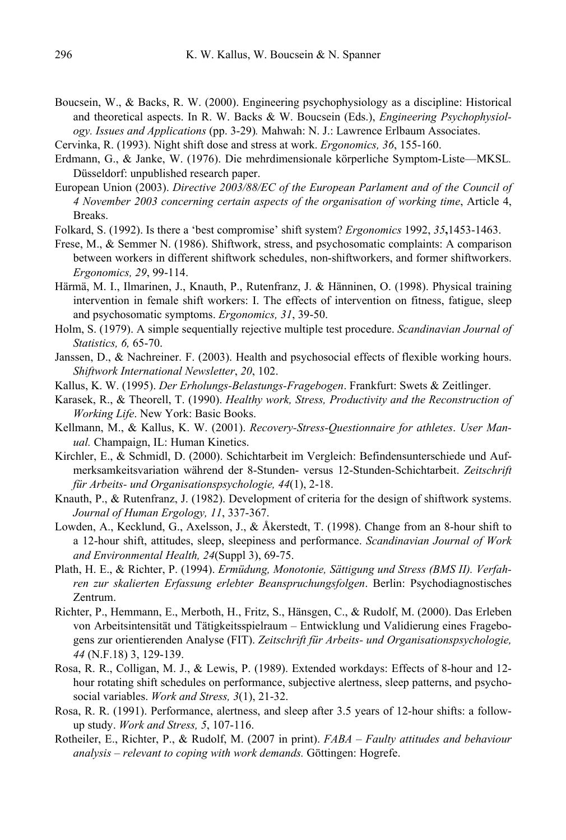- Boucsein, W., & Backs, R. W. (2000). Engineering psychophysiology as a discipline: Historical and theoretical aspects. In R. W. Backs & W. Boucsein (Eds.), *Engineering Psychophysiology. Issues and Applications* (pp. 3-29)*.* Mahwah: N. J.: Lawrence Erlbaum Associates.
- Cervinka, R. (1993). Night shift dose and stress at work. *Ergonomics, 36*, 155-160.
- Erdmann, G., & Janke, W. (1976). Die mehrdimensionale körperliche Symptom-Liste—MKSL*.* Düsseldorf: unpublished research paper.
- European Union (2003). *Directive 2003/88/EC of the European Parlament and of the Council of 4 November 2003 concerning certain aspects of the organisation of working time*, Article 4, Breaks.
- Folkard, S. (1992). Is there a 'best compromise' shift system? *Ergonomics* 1992, *35***,**1453-1463.
- Frese, M., & Semmer N. (1986). Shiftwork, stress, and psychosomatic complaints: A comparison between workers in different shiftwork schedules, non-shiftworkers, and former shiftworkers. *Ergonomics, 29*, 99-114.
- Härmä, M. I., Ilmarinen, J., Knauth, P., Rutenfranz, J. & Hänninen, O. (1998). Physical training intervention in female shift workers: I. The effects of intervention on fitness, fatigue, sleep and psychosomatic symptoms. *Ergonomics, 31*, 39-50.
- Holm, S. (1979). A simple sequentially rejective multiple test procedure. *Scandinavian Journal of Statistics, 6,* 65-70.
- Janssen, D., & Nachreiner. F. (2003). Health and psychosocial effects of flexible working hours. *Shiftwork International Newsletter*, *20*, 102.
- Kallus, K. W. (1995). *Der Erholungs-Belastungs-Fragebogen*. Frankfurt: Swets & Zeitlinger.
- Karasek, R., & Theorell, T. (1990). *Healthy work, Stress, Productivity and the Reconstruction of Working Life*. New York: Basic Books.
- Kellmann, M., & Kallus, K. W. (2001). *Recovery-Stress-Questionnaire for athletes*. *User Manual.* Champaign, IL: Human Kinetics.
- Kirchler, E., & Schmidl, D. (2000). Schichtarbeit im Vergleich: Befindensunterschiede und Aufmerksamkeitsvariation während der 8-Stunden- versus 12-Stunden-Schichtarbeit. *Zeitschrift für Arbeits- und Organisationspsychologie, 44*(1), 2-18.
- Knauth, P., & Rutenfranz, J. (1982). Development of criteria for the design of shiftwork systems. *Journal of Human Ergology, 11*, 337-367.
- Lowden, A., Kecklund, G., Axelsson, J., & Åkerstedt, T. (1998). Change from an 8-hour shift to a 12-hour shift, attitudes, sleep, sleepiness and performance. *Scandinavian Journal of Work and Environmental Health, 24*(Suppl 3), 69-75.
- Plath, H. E., & Richter, P. (1994). *Ermüdung, Monotonie, Sättigung und Stress (BMS II). Verfahren zur skalierten Erfassung erlebter Beanspruchungsfolgen*. Berlin: Psychodiagnostisches Zentrum.
- Richter, P., Hemmann, E., Merboth, H., Fritz, S., Hänsgen, C., & Rudolf, M. (2000). Das Erleben von Arbeitsintensität und Tätigkeitsspielraum – Entwicklung und Validierung eines Fragebogens zur orientierenden Analyse (FIT). *Zeitschrift für Arbeits- und Organisationspsychologie, 44* (N.F.18) 3, 129-139.
- Rosa, R. R., Colligan, M. J., & Lewis, P. (1989). Extended workdays: Effects of 8-hour and 12 hour rotating shift schedules on performance, subjective alertness, sleep patterns, and psychosocial variables. *Work and Stress, 3*(1), 21-32.
- Rosa, R. R. (1991). Performance, alertness, and sleep after 3.5 years of 12-hour shifts: a followup study. *Work and Stress, 5*, 107-116.
- Rotheiler, E., Richter, P., & Rudolf, M. (2007 in print). *FABA Faulty attitudes and behaviour analysis – relevant to coping with work demands.* Göttingen: Hogrefe.